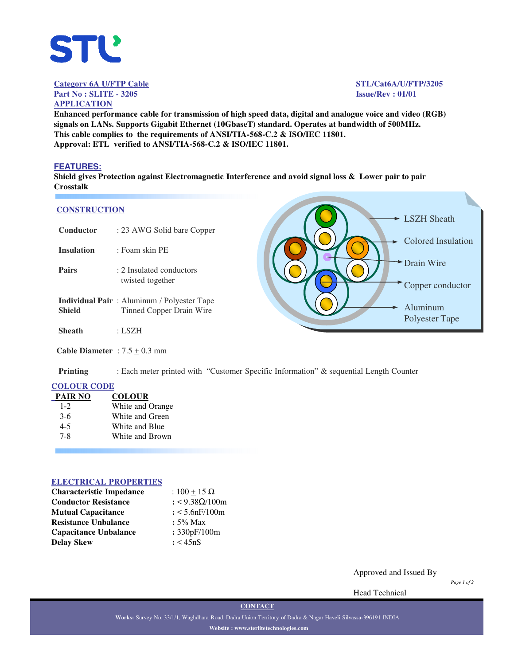

**Category 6A U/FTP Cable STL/Cat6A/U/FTP/3205**

**APPLICATION**

**Part No : SLITE - 3205 Issue/Rev : 01/01**

**Enhanced performance cable for transmission of high speed data, digital and analogue voice and video (RGB) signals on LANs. Supports Gigabit Ethernet (10GbaseT) standard. Operates at bandwidth of 500MHz. This cable complies to the requirements of ANSI/TIA-568-C.2 & ISO/IEC 11801. Approval: ETL verified to ANSI/TIA-568-C.2 & ISO/IEC 11801.**

## **FEATURES:**

**Shield gives Protection against Electromagnetic Interference and avoid signal loss & Lower pair to pair Crosstalk**

## **CONSTRUCTION**

| <b>CONSTRUCTION</b> |                                                                               | LSZH Sheath                    |
|---------------------|-------------------------------------------------------------------------------|--------------------------------|
| Conductor           | : 23 AWG Solid bare Copper                                                    |                                |
| <b>Insulation</b>   | : Foam skin PE                                                                | <b>Colored Insulation</b>      |
| <b>Pairs</b>        | : 2 Insulated conductors<br>twisted together                                  | Drain Wire<br>Copper conductor |
| <b>Shield</b>       | <b>Individual Pair:</b> Aluminum / Polyester Tape<br>Tinned Copper Drain Wire | Aluminum<br>Polyester Tape     |
| <b>Sheath</b>       | : LSZH                                                                        |                                |
|                     | Cable Diameter : $7.5 + 0.3$ mm                                               |                                |

**Printing** : Each meter printed with "Customer Specific Information" & sequential Length Counter

#### **COLOUR CODE**

| <b>PAIR NO</b> | <b>COLOUR</b>    |
|----------------|------------------|
| $1 - 2$        | White and Orange |
| $3-6$          | White and Green  |
| $4 - 5$        | White and Blue   |
| $7 - 8$        | White and Brown  |
|                |                  |

#### **ELECTRICAL PROPERTIES**

| <b>Characteristic Impedance</b> | : $100 + 15 \Omega$ |  |  |
|---------------------------------|---------------------|--|--|
| <b>Conductor Resistance</b>     | : <9.38Ω/100m       |  |  |
| <b>Mutual Capacitance</b>       | $: < 5.6$ nF/100m   |  |  |
| <b>Resistance Unbalance</b>     | $: 5\%$ Max         |  |  |
| <b>Capacitance Unbalance</b>    | : 330pF/100m        |  |  |
| <b>Delay Skew</b>               | : < 45nS            |  |  |

Approved and Issued By

*Page 1 of 2*

Head Technical

**CONTACT**

**Works:** Survey No. 33/1/1, Waghdhara Road, Dadra Union Territory of Dadra & Nagar Haveli Silvassa-396191 INDIA **Website : www.sterlitetechnologies.com**